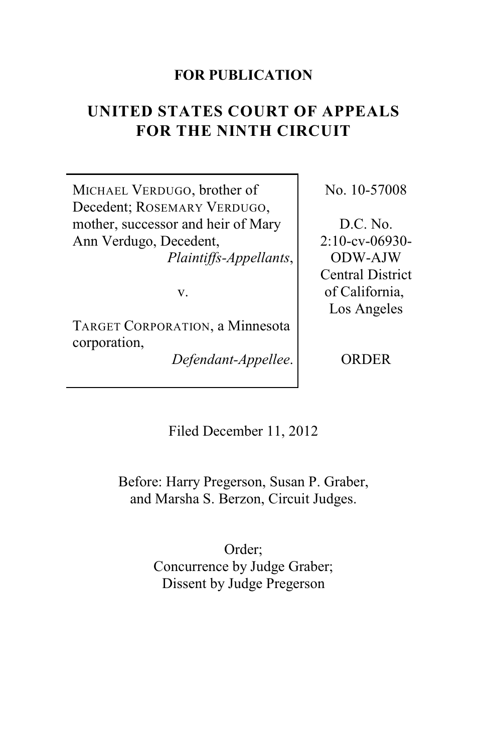# **FOR PUBLICATION**

# **UNITED STATES COURT OF APPEALS FOR THE NINTH CIRCUIT**

MICHAEL VERDUGO, brother of Decedent; ROSEMARY VERDUGO, mother, successor and heir of Mary Ann Verdugo, Decedent, *Plaintiffs-Appellants*,

v.

TARGET CORPORATION, a Minnesota corporation,

*Defendant-Appellee*.

No. 10-57008

D.C. No. 2:10-cv-06930- ODW-AJW Central District of California, Los Angeles

**ORDER** 

Filed December 11, 2012

Before: Harry Pregerson, Susan P. Graber, and Marsha S. Berzon, Circuit Judges.

> Order; Concurrence by Judge Graber; Dissent by Judge Pregerson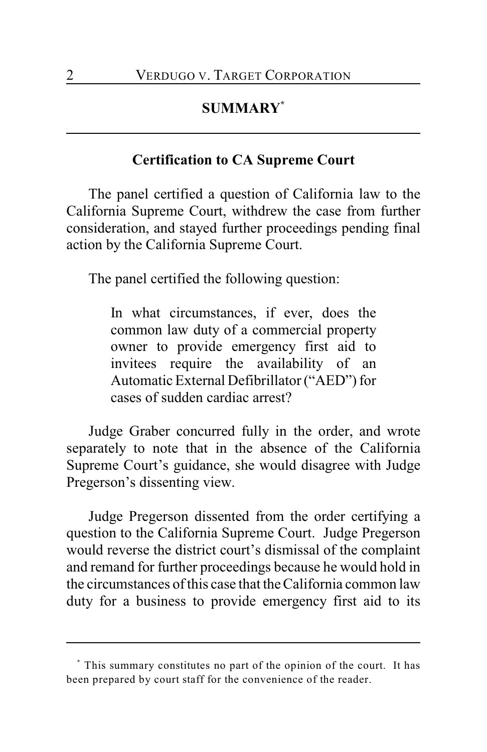# **SUMMARY \***

# **Certification to CA Supreme Court**

The panel certified a question of California law to the California Supreme Court, withdrew the case from further consideration, and stayed further proceedings pending final action by the California Supreme Court.

The panel certified the following question:

In what circumstances, if ever, does the common law duty of a commercial property owner to provide emergency first aid to invitees require the availability of an Automatic External Defibrillator ("AED") for cases of sudden cardiac arrest?

Judge Graber concurred fully in the order, and wrote separately to note that in the absence of the California Supreme Court's guidance, she would disagree with Judge Pregerson's dissenting view.

Judge Pregerson dissented from the order certifying a question to the California Supreme Court. Judge Pregerson would reverse the district court's dismissal of the complaint and remand for further proceedings because he would hold in the circumstances of this case that the California common law duty for a business to provide emergency first aid to its

This summary constitutes no part of the opinion of the court. It has **\*** been prepared by court staff for the convenience of the reader.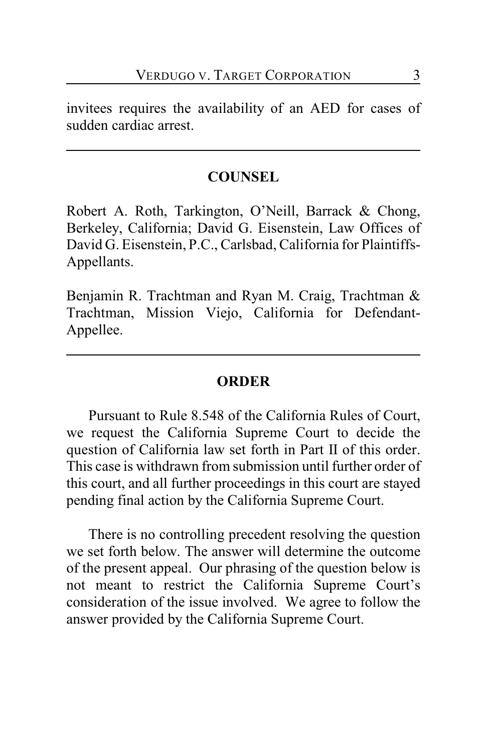invitees requires the availability of an AED for cases of sudden cardiac arrest.

# **COUNSEL**

Robert A. Roth, Tarkington, O'Neill, Barrack & Chong, Berkeley, California; David G. Eisenstein, Law Offices of David G. Eisenstein, P.C., Carlsbad, California for Plaintiffs-Appellants.

Benjamin R. Trachtman and Ryan M. Craig, Trachtman & Trachtman, Mission Viejo, California for Defendant-Appellee.

# **ORDER**

Pursuant to Rule 8.548 of the California Rules of Court, we request the California Supreme Court to decide the question of California law set forth in Part II of this order. This case is withdrawn from submission until further order of this court, and all further proceedings in this court are stayed pending final action by the California Supreme Court.

There is no controlling precedent resolving the question we set forth below. The answer will determine the outcome of the present appeal. Our phrasing of the question below is not meant to restrict the California Supreme Court's consideration of the issue involved. We agree to follow the answer provided by the California Supreme Court.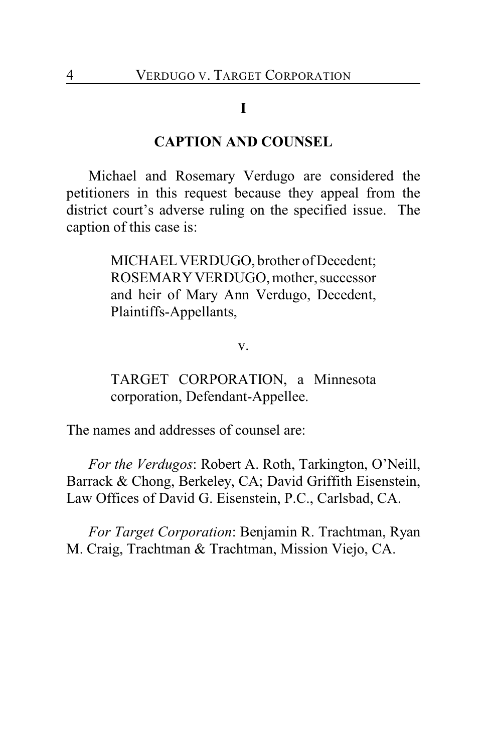# **I**

## **CAPTION AND COUNSEL**

Michael and Rosemary Verdugo are considered the petitioners in this request because they appeal from the district court's adverse ruling on the specified issue. The caption of this case is:

> MICHAEL VERDUGO, brother of Decedent; ROSEMARY VERDUGO, mother, successor and heir of Mary Ann Verdugo, Decedent, Plaintiffs-Appellants,

> > v.

TARGET CORPORATION, a Minnesota corporation, Defendant-Appellee.

The names and addresses of counsel are:

*For the Verdugos*: Robert A. Roth, Tarkington, O'Neill, Barrack & Chong, Berkeley, CA; David Griffith Eisenstein, Law Offices of David G. Eisenstein, P.C., Carlsbad, CA.

*For Target Corporation*: Benjamin R. Trachtman, Ryan M. Craig, Trachtman & Trachtman, Mission Viejo, CA.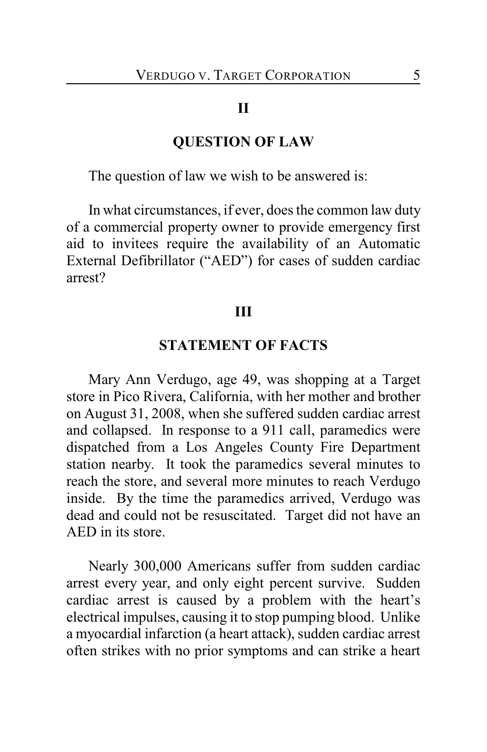#### **II**

# **QUESTION OF LAW**

The question of law we wish to be answered is:

In what circumstances, if ever, does the common law duty of a commercial property owner to provide emergency first aid to invitees require the availability of an Automatic External Defibrillator ("AED") for cases of sudden cardiac arrest?

#### **III**

#### **STATEMENT OF FACTS**

Mary Ann Verdugo, age 49, was shopping at a Target store in Pico Rivera, California, with her mother and brother on August 31, 2008, when she suffered sudden cardiac arrest and collapsed. In response to a 911 call, paramedics were dispatched from a Los Angeles County Fire Department station nearby. It took the paramedics several minutes to reach the store, and several more minutes to reach Verdugo inside. By the time the paramedics arrived, Verdugo was dead and could not be resuscitated. Target did not have an AED in its store.

Nearly 300,000 Americans suffer from sudden cardiac arrest every year, and only eight percent survive. Sudden cardiac arrest is caused by a problem with the heart's electrical impulses, causing it to stop pumping blood. Unlike a myocardial infarction (a heart attack), sudden cardiac arrest often strikes with no prior symptoms and can strike a heart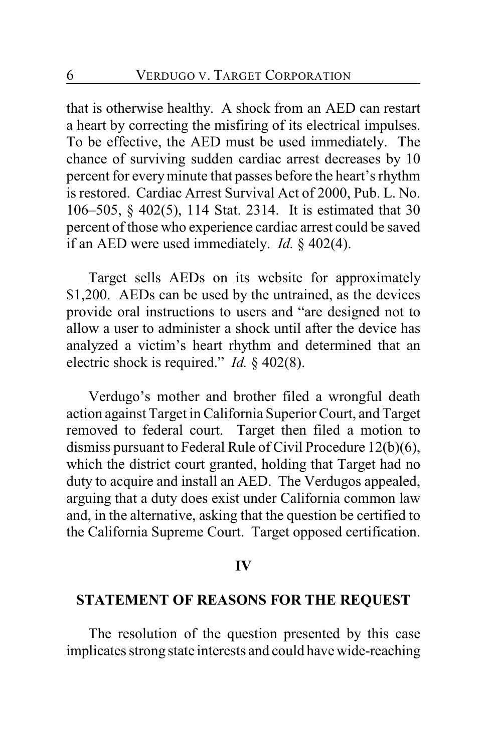that is otherwise healthy. A shock from an AED can restart a heart by correcting the misfiring of its electrical impulses. To be effective, the AED must be used immediately. The chance of surviving sudden cardiac arrest decreases by 10 percent for everyminute that passes before the heart's rhythm is restored. Cardiac Arrest Survival Act of 2000, Pub. L. No. 106–505, § 402(5), 114 Stat. 2314. It is estimated that 30 percent of those who experience cardiac arrest could be saved if an AED were used immediately. *Id.* § 402(4).

Target sells AEDs on its website for approximately \$1,200. AEDs can be used by the untrained, as the devices provide oral instructions to users and "are designed not to allow a user to administer a shock until after the device has analyzed a victim's heart rhythm and determined that an electric shock is required." *Id.* § 402(8).

Verdugo's mother and brother filed a wrongful death action against Target in California Superior Court, and Target removed to federal court. Target then filed a motion to dismiss pursuant to Federal Rule of Civil Procedure 12(b)(6), which the district court granted, holding that Target had no duty to acquire and install an AED. The Verdugos appealed, arguing that a duty does exist under California common law and, in the alternative, asking that the question be certified to the California Supreme Court. Target opposed certification.

#### **IV**

## **STATEMENT OF REASONS FOR THE REQUEST**

The resolution of the question presented by this case implicates strong state interests and could have wide-reaching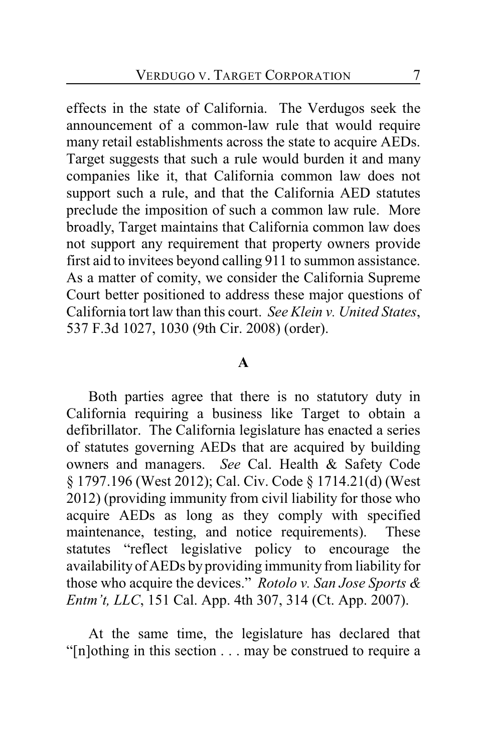effects in the state of California. The Verdugos seek the announcement of a common-law rule that would require many retail establishments across the state to acquire AEDs. Target suggests that such a rule would burden it and many companies like it, that California common law does not support such a rule, and that the California AED statutes preclude the imposition of such a common law rule. More broadly, Target maintains that California common law does not support any requirement that property owners provide first aid to invitees beyond calling 911 to summon assistance. As a matter of comity, we consider the California Supreme Court better positioned to address these major questions of California tort law than this court. *See Klein v. United States*, 537 F.3d 1027, 1030 (9th Cir. 2008) (order).

#### **A**

Both parties agree that there is no statutory duty in California requiring a business like Target to obtain a defibrillator. The California legislature has enacted a series of statutes governing AEDs that are acquired by building owners and managers. *See* Cal. Health & Safety Code § 1797.196 (West 2012); Cal. Civ. Code § 1714.21(d) (West 2012) (providing immunity from civil liability for those who acquire AEDs as long as they comply with specified maintenance, testing, and notice requirements). These statutes "reflect legislative policy to encourage the availability of AEDs by providing immunity from liability for those who acquire the devices." *Rotolo v. San Jose Sports & Entm't, LLC*, 151 Cal. App. 4th 307, 314 (Ct. App. 2007).

At the same time, the legislature has declared that "[n]othing in this section . . . may be construed to require a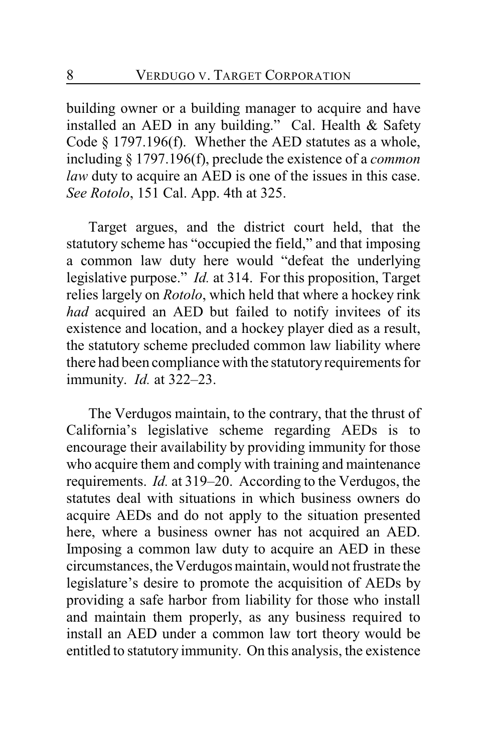building owner or a building manager to acquire and have installed an AED in any building." Cal. Health & Safety Code § 1797.196(f). Whether the AED statutes as a whole, including § 1797.196(f), preclude the existence of a *common law* duty to acquire an AED is one of the issues in this case. *See Rotolo*, 151 Cal. App. 4th at 325.

Target argues, and the district court held, that the statutory scheme has "occupied the field," and that imposing a common law duty here would "defeat the underlying legislative purpose." *Id.* at 314. For this proposition, Target relies largely on *Rotolo*, which held that where a hockey rink *had* acquired an AED but failed to notify invitees of its existence and location, and a hockey player died as a result, the statutory scheme precluded common law liability where there had been compliance with the statutory requirements for immunity. *Id.* at 322–23.

The Verdugos maintain, to the contrary, that the thrust of California's legislative scheme regarding AEDs is to encourage their availability by providing immunity for those who acquire them and comply with training and maintenance requirements. *Id.* at 319–20. According to the Verdugos, the statutes deal with situations in which business owners do acquire AEDs and do not apply to the situation presented here, where a business owner has not acquired an AED. Imposing a common law duty to acquire an AED in these circumstances, the Verdugos maintain, would not frustrate the legislature's desire to promote the acquisition of AEDs by providing a safe harbor from liability for those who install and maintain them properly, as any business required to install an AED under a common law tort theory would be entitled to statutory immunity. On this analysis, the existence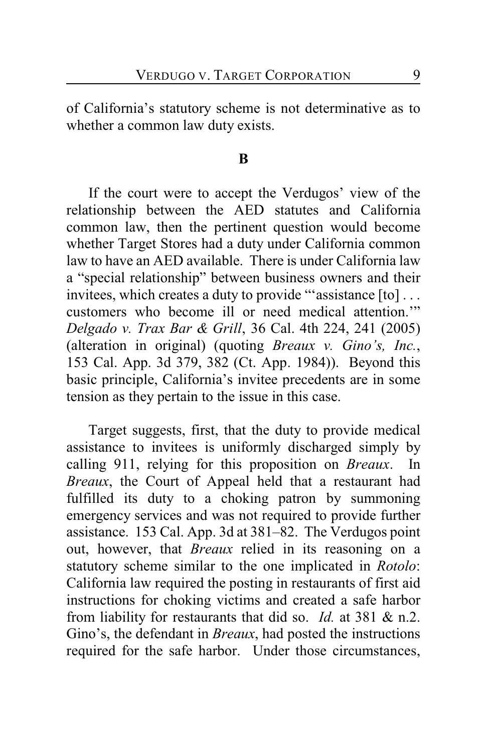of California's statutory scheme is not determinative as to whether a common law duty exists.

#### **B**

If the court were to accept the Verdugos' view of the relationship between the AED statutes and California common law, then the pertinent question would become whether Target Stores had a duty under California common law to have an AED available. There is under California law a "special relationship" between business owners and their invitees, which creates a duty to provide "'assistance [to] . . . customers who become ill or need medical attention.'" *Delgado v. Trax Bar & Grill*, 36 Cal. 4th 224, 241 (2005) (alteration in original) (quoting *Breaux v. Gino's, Inc.*, 153 Cal. App. 3d 379, 382 (Ct. App. 1984)). Beyond this basic principle, California's invitee precedents are in some tension as they pertain to the issue in this case.

Target suggests, first, that the duty to provide medical assistance to invitees is uniformly discharged simply by calling 911, relying for this proposition on *Breaux*. In *Breaux*, the Court of Appeal held that a restaurant had fulfilled its duty to a choking patron by summoning emergency services and was not required to provide further assistance. 153 Cal. App. 3d at 381–82. The Verdugos point out, however, that *Breaux* relied in its reasoning on a statutory scheme similar to the one implicated in *Rotolo*: California law required the posting in restaurants of first aid instructions for choking victims and created a safe harbor from liability for restaurants that did so. *Id.* at 381 & n.2. Gino's, the defendant in *Breaux*, had posted the instructions required for the safe harbor. Under those circumstances,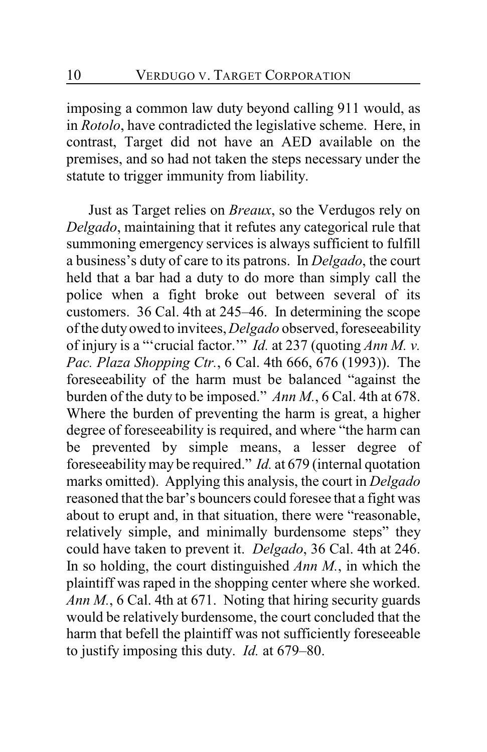imposing a common law duty beyond calling 911 would, as in *Rotolo*, have contradicted the legislative scheme. Here, in contrast, Target did not have an AED available on the premises, and so had not taken the steps necessary under the statute to trigger immunity from liability.

Just as Target relies on *Breaux*, so the Verdugos rely on *Delgado*, maintaining that it refutes any categorical rule that summoning emergency services is always sufficient to fulfill a business's duty of care to its patrons. In *Delgado*, the court held that a bar had a duty to do more than simply call the police when a fight broke out between several of its customers. 36 Cal. 4th at 245–46. In determining the scope of the duty owed to invitees, *Delgado* observed, foreseeability of injury is a "'crucial factor.'" *Id.* at 237 (quoting *Ann M. v. Pac. Plaza Shopping Ctr.*, 6 Cal. 4th 666, 676 (1993)). The foreseeability of the harm must be balanced "against the burden of the duty to be imposed." *Ann M.*, 6 Cal. 4th at 678. Where the burden of preventing the harm is great, a higher degree of foreseeability is required, and where "the harm can be prevented by simple means, a lesser degree of foreseeability may be required." *Id.* at 679 (internal quotation marks omitted). Applying this analysis, the court in *Delgado* reasoned that the bar's bouncers could foresee that a fight was about to erupt and, in that situation, there were "reasonable, relatively simple, and minimally burdensome steps" they could have taken to prevent it. *Delgado*, 36 Cal. 4th at 246. In so holding, the court distinguished *Ann M.*, in which the plaintiff was raped in the shopping center where she worked. *Ann M.*, 6 Cal. 4th at 671. Noting that hiring security guards would be relatively burdensome, the court concluded that the harm that befell the plaintiff was not sufficiently foreseeable to justify imposing this duty. *Id.* at 679–80.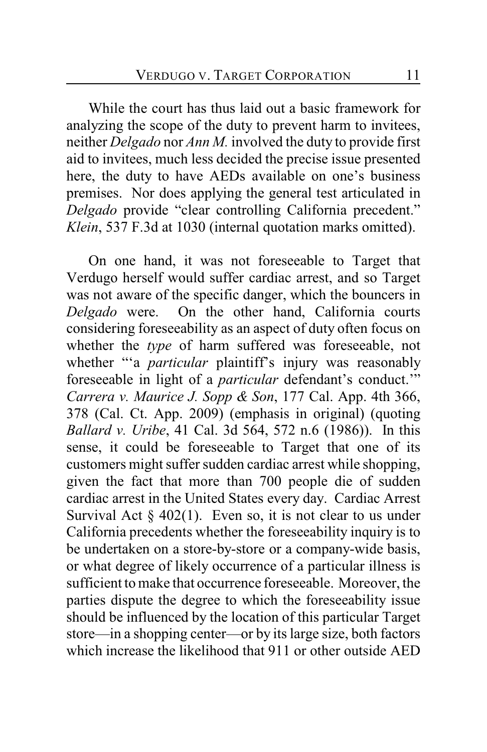While the court has thus laid out a basic framework for analyzing the scope of the duty to prevent harm to invitees, neither *Delgado* nor *Ann M.* involved the duty to provide first aid to invitees, much less decided the precise issue presented here, the duty to have AEDs available on one's business premises. Nor does applying the general test articulated in *Delgado* provide "clear controlling California precedent." *Klein*, 537 F.3d at 1030 (internal quotation marks omitted).

On one hand, it was not foreseeable to Target that Verdugo herself would suffer cardiac arrest, and so Target was not aware of the specific danger, which the bouncers in *Delgado* were. On the other hand, California courts considering foreseeability as an aspect of duty often focus on whether the *type* of harm suffered was foreseeable, not whether "'a *particular* plaintiff's injury was reasonably foreseeable in light of a *particular* defendant's conduct.'" *Carrera v. Maurice J. Sopp & Son*, 177 Cal. App. 4th 366, 378 (Cal. Ct. App. 2009) (emphasis in original) (quoting *Ballard v. Uribe*, 41 Cal. 3d 564, 572 n.6 (1986)). In this sense, it could be foreseeable to Target that one of its customers might suffer sudden cardiac arrest while shopping, given the fact that more than 700 people die of sudden cardiac arrest in the United States every day. Cardiac Arrest Survival Act  $\S$  402(1). Even so, it is not clear to us under California precedents whether the foreseeability inquiry is to be undertaken on a store-by-store or a company-wide basis, or what degree of likely occurrence of a particular illness is sufficient to make that occurrence foreseeable. Moreover, the parties dispute the degree to which the foreseeability issue should be influenced by the location of this particular Target store—in a shopping center—or by its large size, both factors which increase the likelihood that 911 or other outside AED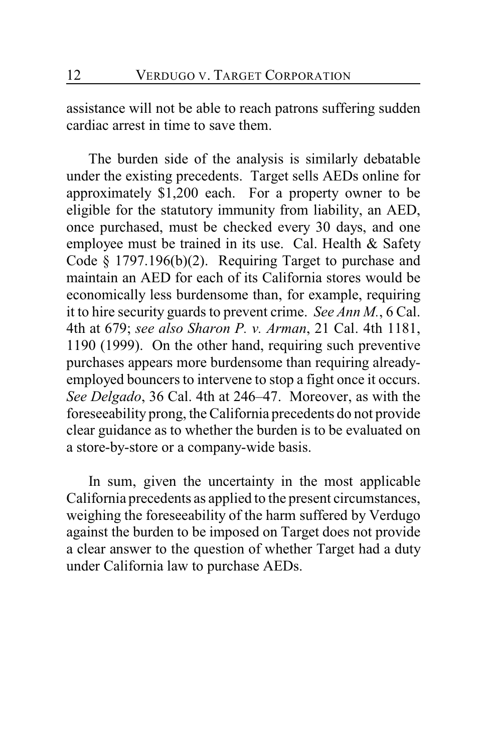assistance will not be able to reach patrons suffering sudden cardiac arrest in time to save them.

The burden side of the analysis is similarly debatable under the existing precedents. Target sells AEDs online for approximately \$1,200 each. For a property owner to be eligible for the statutory immunity from liability, an AED, once purchased, must be checked every 30 days, and one employee must be trained in its use. Cal. Health & Safety Code § 1797.196(b)(2). Requiring Target to purchase and maintain an AED for each of its California stores would be economically less burdensome than, for example, requiring it to hire security guards to prevent crime. *See Ann M.*, 6 Cal. 4th at 679; *see also Sharon P. v. Arman*, 21 Cal. 4th 1181, 1190 (1999). On the other hand, requiring such preventive purchases appears more burdensome than requiring alreadyemployed bouncers to intervene to stop a fight once it occurs. *See Delgado*, 36 Cal. 4th at 246–47. Moreover, as with the foreseeability prong, the California precedents do not provide clear guidance as to whether the burden is to be evaluated on a store-by-store or a company-wide basis.

In sum, given the uncertainty in the most applicable California precedents as applied to the present circumstances, weighing the foreseeability of the harm suffered by Verdugo against the burden to be imposed on Target does not provide a clear answer to the question of whether Target had a duty under California law to purchase AEDs.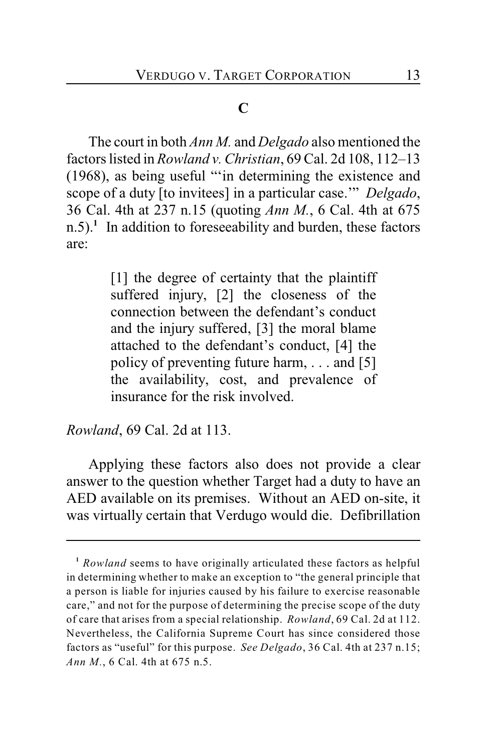## **C**

The court in both *Ann M.* and *Delgado* also mentioned the factors listed in *Rowland v. Christian*, 69 Cal. 2d 108, 112–13 (1968), as being useful "'in determining the existence and scope of a duty [to invitees] in a particular case.'" *Delgado*, 36 Cal. 4th at 237 n.15 (quoting *Ann M.*, 6 Cal. 4th at 675 n.5).<sup>1</sup> In addition to foreseeability and burden, these factors are:

> [1] the degree of certainty that the plaintiff suffered injury, [2] the closeness of the connection between the defendant's conduct and the injury suffered, [3] the moral blame attached to the defendant's conduct, [4] the policy of preventing future harm, . . . and [5] the availability, cost, and prevalence of insurance for the risk involved.

*Rowland*, 69 Cal. 2d at 113.

Applying these factors also does not provide a clear answer to the question whether Target had a duty to have an AED available on its premises. Without an AED on-site, it was virtually certain that Verdugo would die. Defibrillation

<sup>&</sup>lt;sup>1</sup> Rowland seems to have originally articulated these factors as helpful in determining whether to make an exception to "the general principle that a person is liable for injuries caused by his failure to exercise reasonable care," and not for the purpose of determining the precise scope of the duty of care that arises from a special relationship. *Rowland*, 69 Cal. 2d at 112. Nevertheless, the California Supreme Court has since considered those factors as "useful" for this purpose. *See Delgado*, 36 Cal. 4th at 237 n.15; *Ann M.*, 6 Cal. 4th at 675 n.5.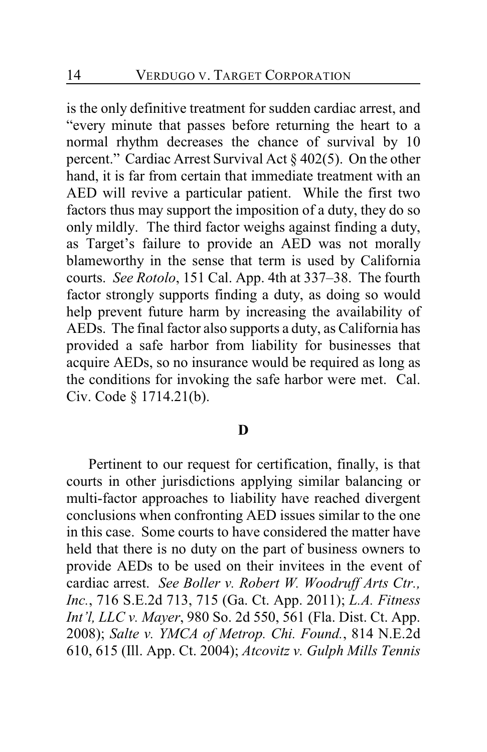is the only definitive treatment for sudden cardiac arrest, and "every minute that passes before returning the heart to a normal rhythm decreases the chance of survival by 10 percent." Cardiac Arrest Survival Act § 402(5). On the other hand, it is far from certain that immediate treatment with an AED will revive a particular patient. While the first two factors thus may support the imposition of a duty, they do so only mildly. The third factor weighs against finding a duty, as Target's failure to provide an AED was not morally blameworthy in the sense that term is used by California courts. *See Rotolo*, 151 Cal. App. 4th at 337–38. The fourth factor strongly supports finding a duty, as doing so would help prevent future harm by increasing the availability of AEDs. The final factor also supports a duty, as California has provided a safe harbor from liability for businesses that acquire AEDs, so no insurance would be required as long as the conditions for invoking the safe harbor were met. Cal. Civ. Code § 1714.21(b).

#### **D**

Pertinent to our request for certification, finally, is that courts in other jurisdictions applying similar balancing or multi-factor approaches to liability have reached divergent conclusions when confronting AED issues similar to the one in this case. Some courts to have considered the matter have held that there is no duty on the part of business owners to provide AEDs to be used on their invitees in the event of cardiac arrest. *See Boller v. Robert W. Woodruff Arts Ctr., Inc.*, 716 S.E.2d 713, 715 (Ga. Ct. App. 2011); *L.A. Fitness Int'l, LLC v. Mayer*, 980 So. 2d 550, 561 (Fla. Dist. Ct. App. 2008); *Salte v. YMCA of Metrop. Chi. Found.*, 814 N.E.2d 610, 615 (Ill. App. Ct. 2004); *Atcovitz v. Gulph Mills Tennis*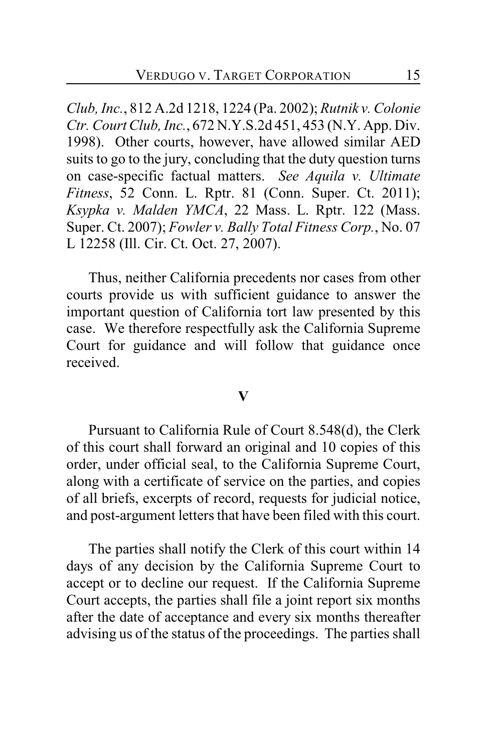*Club, Inc.*, 812 A.2d 1218, 1224 (Pa. 2002); *Rutnik v. Colonie Ctr. Court Club, Inc.*, 672 N.Y.S.2d 451, 453 (N.Y. App. Div. 1998). Other courts, however, have allowed similar AED suits to go to the jury, concluding that the duty question turns on case-specific factual matters. *See Aquila v. Ultimate Fitness*, 52 Conn. L. Rptr. 81 (Conn. Super. Ct. 2011); *Ksypka v. Malden YMCA*, 22 Mass. L. Rptr. 122 (Mass. Super. Ct. 2007); *Fowler v. Bally Total Fitness Corp.*, No. 07 L 12258 (Ill. Cir. Ct. Oct. 27, 2007).

Thus, neither California precedents nor cases from other courts provide us with sufficient guidance to answer the important question of California tort law presented by this case. We therefore respectfully ask the California Supreme Court for guidance and will follow that guidance once received.

#### **V**

Pursuant to California Rule of Court 8.548(d), the Clerk of this court shall forward an original and 10 copies of this order, under official seal, to the California Supreme Court, along with a certificate of service on the parties, and copies of all briefs, excerpts of record, requests for judicial notice, and post-argument letters that have been filed with this court.

The parties shall notify the Clerk of this court within 14 days of any decision by the California Supreme Court to accept or to decline our request. If the California Supreme Court accepts, the parties shall file a joint report six months after the date of acceptance and every six months thereafter advising us of the status of the proceedings. The parties shall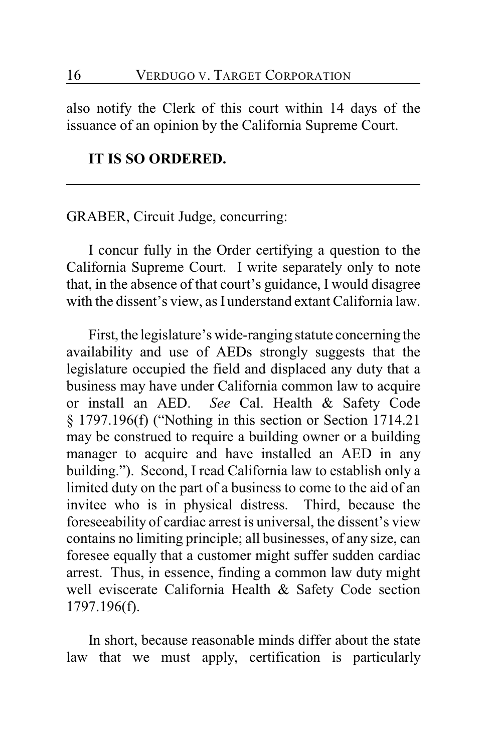also notify the Clerk of this court within 14 days of the issuance of an opinion by the California Supreme Court.

#### **IT IS SO ORDERED.**

## GRABER, Circuit Judge, concurring:

I concur fully in the Order certifying a question to the California Supreme Court. I write separately only to note that, in the absence of that court's guidance, I would disagree with the dissent's view, as I understand extant California law.

First, the legislature's wide-ranging statute concerning the availability and use of AEDs strongly suggests that the legislature occupied the field and displaced any duty that a business may have under California common law to acquire or install an AED. *See* Cal. Health & Safety Code § 1797.196(f) ("Nothing in this section or Section 1714.21 may be construed to require a building owner or a building manager to acquire and have installed an AED in any building."). Second, I read California law to establish only a limited duty on the part of a business to come to the aid of an invitee who is in physical distress. Third, because the foreseeability of cardiac arrest is universal, the dissent's view contains no limiting principle; all businesses, of any size, can foresee equally that a customer might suffer sudden cardiac arrest. Thus, in essence, finding a common law duty might well eviscerate California Health & Safety Code section 1797.196(f).

In short, because reasonable minds differ about the state law that we must apply, certification is particularly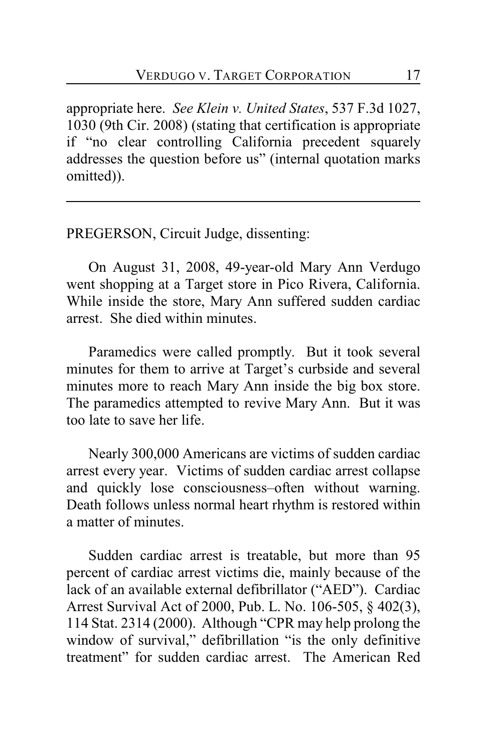appropriate here. *See Klein v. United States*, 537 F.3d 1027, 1030 (9th Cir. 2008) (stating that certification is appropriate if "no clear controlling California precedent squarely addresses the question before us" (internal quotation marks omitted)).

PREGERSON, Circuit Judge, dissenting:

On August 31, 2008, 49-year-old Mary Ann Verdugo went shopping at a Target store in Pico Rivera, California. While inside the store, Mary Ann suffered sudden cardiac arrest. She died within minutes.

Paramedics were called promptly. But it took several minutes for them to arrive at Target's curbside and several minutes more to reach Mary Ann inside the big box store. The paramedics attempted to revive Mary Ann. But it was too late to save her life.

Nearly 300,000 Americans are victims of sudden cardiac arrest every year. Victims of sudden cardiac arrest collapse and quickly lose consciousness–often without warning. Death follows unless normal heart rhythm is restored within a matter of minutes.

Sudden cardiac arrest is treatable, but more than 95 percent of cardiac arrest victims die, mainly because of the lack of an available external defibrillator ("AED"). Cardiac Arrest Survival Act of 2000, Pub. L. No. 106-505, § 402(3), 114 Stat. 2314 (2000). Although "CPR may help prolong the window of survival," defibrillation "is the only definitive treatment" for sudden cardiac arrest. The American Red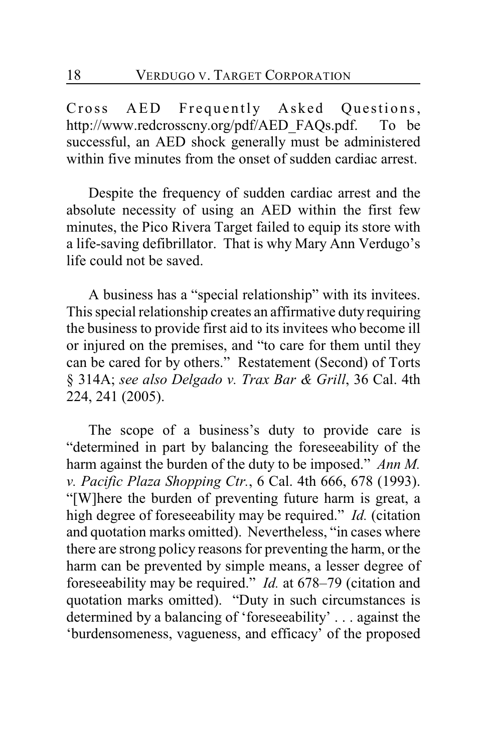Cross AED Frequently Asked Questions, http://www.redcrosscny.org/pdf/AED\_FAQs.pdf. To be successful, an AED shock generally must be administered within five minutes from the onset of sudden cardiac arrest.

Despite the frequency of sudden cardiac arrest and the absolute necessity of using an AED within the first few minutes, the Pico Rivera Target failed to equip its store with a life-saving defibrillator. That is why Mary Ann Verdugo's life could not be saved.

A business has a "special relationship" with its invitees. This special relationship creates an affirmative duty requiring the business to provide first aid to its invitees who become ill or injured on the premises, and "to care for them until they can be cared for by others." Restatement (Second) of Torts § 314A; *see also Delgado v. Trax Bar & Grill*, 36 Cal. 4th 224, 241 (2005).

The scope of a business's duty to provide care is "determined in part by balancing the foreseeability of the harm against the burden of the duty to be imposed." *Ann M. v. Pacific Plaza Shopping Ctr.*, 6 Cal. 4th 666, 678 (1993). "[W]here the burden of preventing future harm is great, a high degree of foreseeability may be required." *Id.* (citation and quotation marks omitted). Nevertheless, "in cases where there are strong policy reasons for preventing the harm, or the harm can be prevented by simple means, a lesser degree of foreseeability may be required." *Id.* at 678–79 (citation and quotation marks omitted). "Duty in such circumstances is determined by a balancing of 'foreseeability' . . . against the 'burdensomeness, vagueness, and efficacy' of the proposed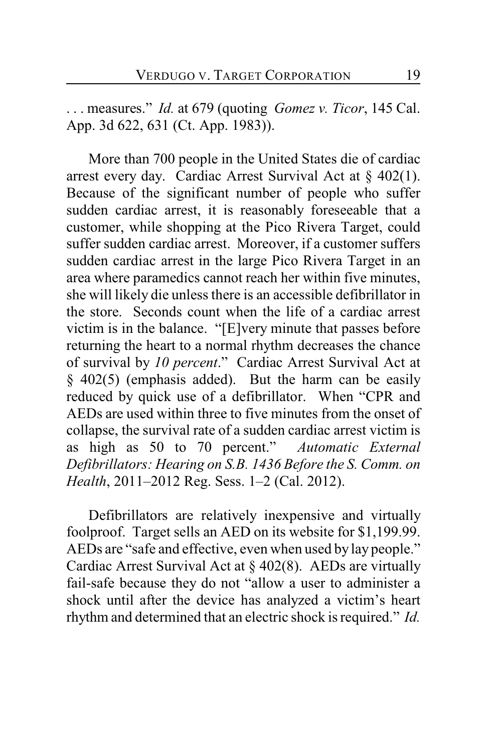. . . measures." *Id.* at 679 (quoting *Gomez v. Ticor*, 145 Cal. App. 3d 622, 631 (Ct. App. 1983)).

More than 700 people in the United States die of cardiac arrest every day. Cardiac Arrest Survival Act at  $\S$  402(1). Because of the significant number of people who suffer sudden cardiac arrest, it is reasonably foreseeable that a customer, while shopping at the Pico Rivera Target, could suffer sudden cardiac arrest. Moreover, if a customer suffers sudden cardiac arrest in the large Pico Rivera Target in an area where paramedics cannot reach her within five minutes, she will likely die unless there is an accessible defibrillator in the store. Seconds count when the life of a cardiac arrest victim is in the balance. "[E]very minute that passes before returning the heart to a normal rhythm decreases the chance of survival by *10 percent*." Cardiac Arrest Survival Act at § 402(5) (emphasis added). But the harm can be easily reduced by quick use of a defibrillator. When "CPR and AEDs are used within three to five minutes from the onset of collapse, the survival rate of a sudden cardiac arrest victim is as high as 50 to 70 percent." *Automatic External Defibrillators: Hearing on S.B. 1436 Before the S. Comm. on Health*, 2011–2012 Reg. Sess. 1–2 (Cal. 2012).

Defibrillators are relatively inexpensive and virtually foolproof. Target sells an AED on its website for \$1,199.99. AEDs are "safe and effective, even when used by lay people." Cardiac Arrest Survival Act at § 402(8). AEDs are virtually fail-safe because they do not "allow a user to administer a shock until after the device has analyzed a victim's heart rhythm and determined that an electric shock is required." *Id.*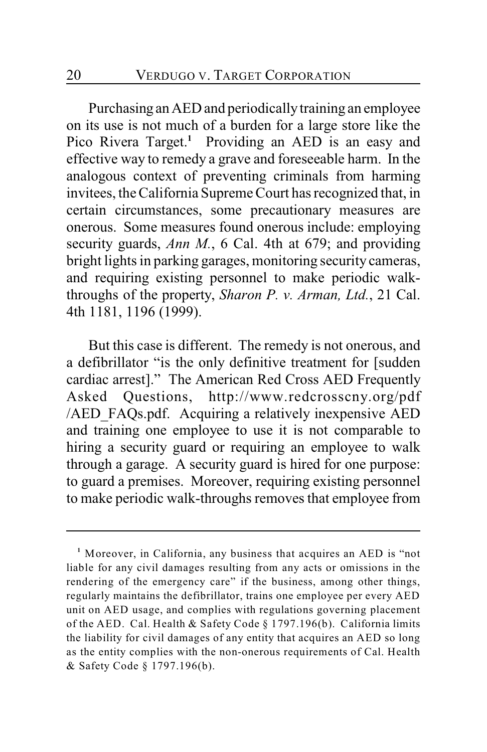Purchasing an AED and periodically training an employee on its use is not much of a burden for a large store like the Pico Rivera Target.<sup>1</sup> Providing an AED is an easy and effective way to remedy a grave and foreseeable harm. In the analogous context of preventing criminals from harming invitees, the California Supreme Court has recognized that, in certain circumstances, some precautionary measures are onerous. Some measures found onerous include: employing security guards, *Ann M.*, 6 Cal. 4th at 679; and providing bright lights in parking garages, monitoring security cameras, and requiring existing personnel to make periodic walkthroughs of the property, *Sharon P. v. Arman, Ltd.*, 21 Cal. 4th 1181, 1196 (1999).

But this case is different. The remedy is not onerous, and a defibrillator "is the only definitive treatment for [sudden cardiac arrest]." The American Red Cross AED Frequently Asked Questions, http://www.redcrosscny.org/pdf /AED\_FAQs.pdf. Acquiring a relatively inexpensive AED and training one employee to use it is not comparable to hiring a security guard or requiring an employee to walk through a garage. A security guard is hired for one purpose: to guard a premises. Moreover, requiring existing personnel to make periodic walk-throughs removes that employee from

<sup>&</sup>lt;sup>1</sup> Moreover, in California, any business that acquires an AED is "not liable for any civil damages resulting from any acts or omissions in the rendering of the emergency care" if the business, among other things, regularly maintains the defibrillator, trains one employee per every AED unit on AED usage, and complies with regulations governing placement of the AED. Cal. Health & Safety Code § 1797.196(b). California limits the liability for civil damages of any entity that acquires an AED so long as the entity complies with the non-onerous requirements of Cal. Health & Safety Code § 1797.196(b).